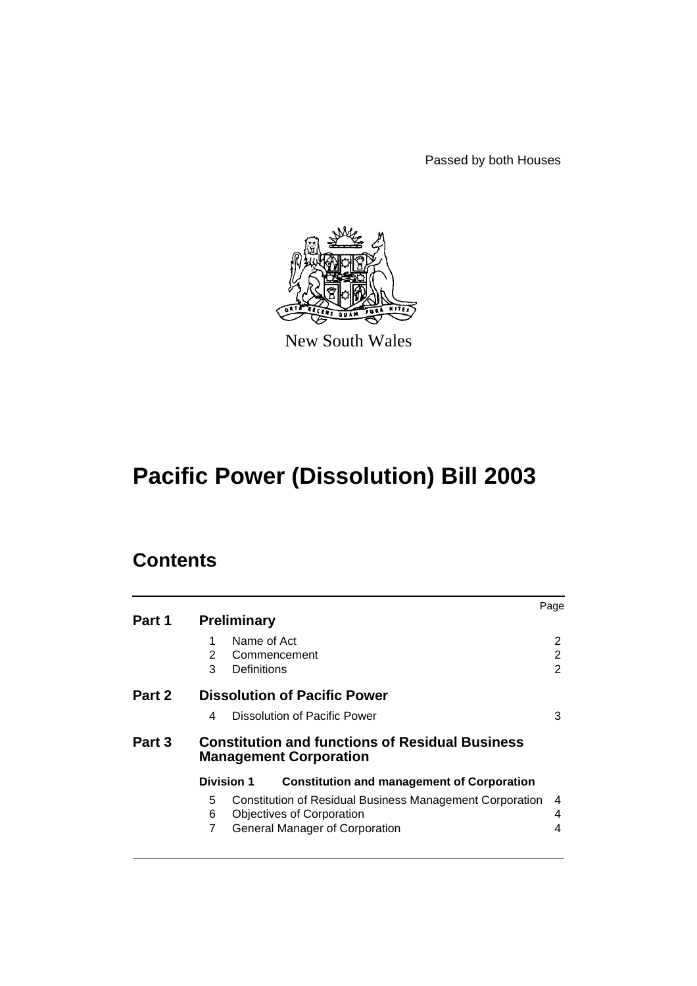Passed by both Houses



New South Wales

# **Pacific Power (Dissolution) Bill 2003**

# **Contents**

|        |                                                                                         |                                                                 | Page           |  |  |
|--------|-----------------------------------------------------------------------------------------|-----------------------------------------------------------------|----------------|--|--|
| Part 1 | <b>Preliminary</b>                                                                      |                                                                 |                |  |  |
|        | Name of Act                                                                             |                                                                 | 2              |  |  |
|        | 2                                                                                       | Commencement                                                    | 2              |  |  |
|        | 3<br>Definitions                                                                        |                                                                 | $\overline{2}$ |  |  |
| Part 2 | <b>Dissolution of Pacific Power</b>                                                     |                                                                 |                |  |  |
|        | 4                                                                                       | Dissolution of Pacific Power                                    | 3              |  |  |
| Part 3 | <b>Constitution and functions of Residual Business</b><br><b>Management Corporation</b> |                                                                 |                |  |  |
|        | <b>Division 1</b>                                                                       | <b>Constitution and management of Corporation</b>               |                |  |  |
|        | 5                                                                                       | <b>Constitution of Residual Business Management Corporation</b> | 4              |  |  |
|        | 6                                                                                       | <b>Objectives of Corporation</b>                                | 4              |  |  |
|        | 7                                                                                       | <b>General Manager of Corporation</b>                           | 4              |  |  |
|        |                                                                                         |                                                                 |                |  |  |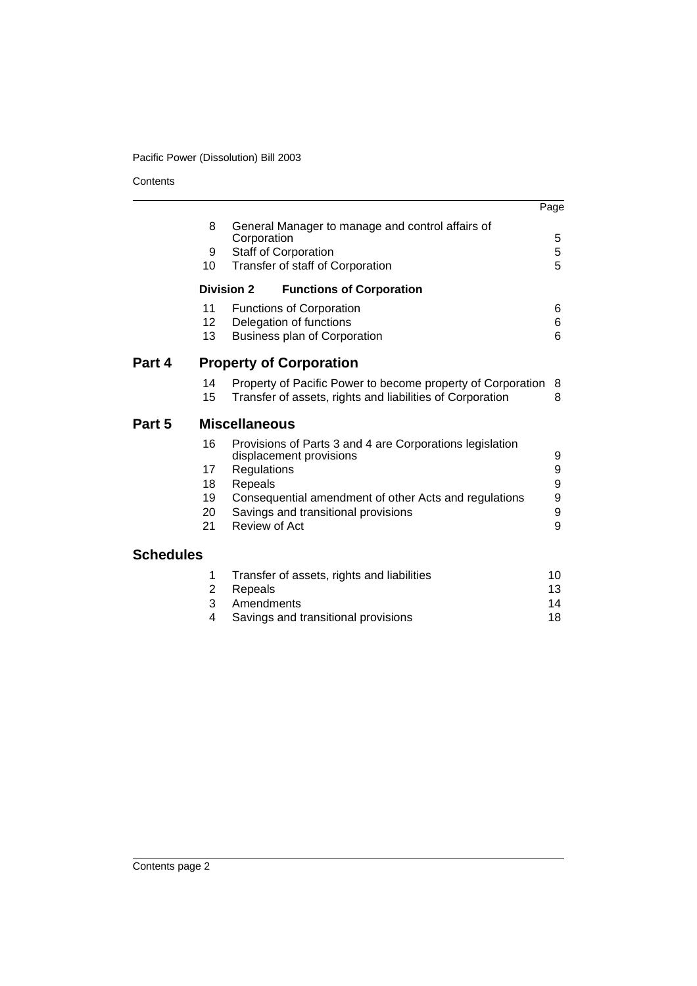**Contents** 

|                  |                                |                                                                                     | Page |
|------------------|--------------------------------|-------------------------------------------------------------------------------------|------|
|                  | 8                              | General Manager to manage and control affairs of<br>Corporation                     | 5    |
|                  | 9                              | Staff of Corporation                                                                | 5    |
|                  | 10                             | Transfer of staff of Corporation                                                    | 5    |
|                  | <b>Division 2</b>              | <b>Functions of Corporation</b>                                                     |      |
|                  | 11                             | Functions of Corporation                                                            | 6    |
|                  | 12 <sup>2</sup>                | Delegation of functions                                                             | 6    |
|                  | 13                             | Business plan of Corporation                                                        | 6    |
| Part 4           | <b>Property of Corporation</b> |                                                                                     |      |
|                  | 14                             | Property of Pacific Power to become property of Corporation                         | 8    |
|                  | 15                             | Transfer of assets, rights and liabilities of Corporation                           | 8    |
| Part 5           |                                | <b>Miscellaneous</b>                                                                |      |
|                  | 16                             | Provisions of Parts 3 and 4 are Corporations legislation<br>displacement provisions | 9    |
|                  | 17                             | Regulations                                                                         | 9    |
|                  | 18                             | Repeals                                                                             | 9    |
|                  | 19                             | Consequential amendment of other Acts and regulations                               | 9    |
|                  | 20                             | Savings and transitional provisions                                                 | 9    |
|                  | 21                             | Review of Act                                                                       | 9    |
| <b>Schedules</b> |                                |                                                                                     |      |
|                  | 1                              | Transfer of assets, rights and liabilities                                          | 10   |
|                  | $\overline{2}$                 | Repeals                                                                             | 13   |
|                  | 3                              | Amendments                                                                          | 14   |
|                  | 4                              | Savings and transitional provisions                                                 | 18   |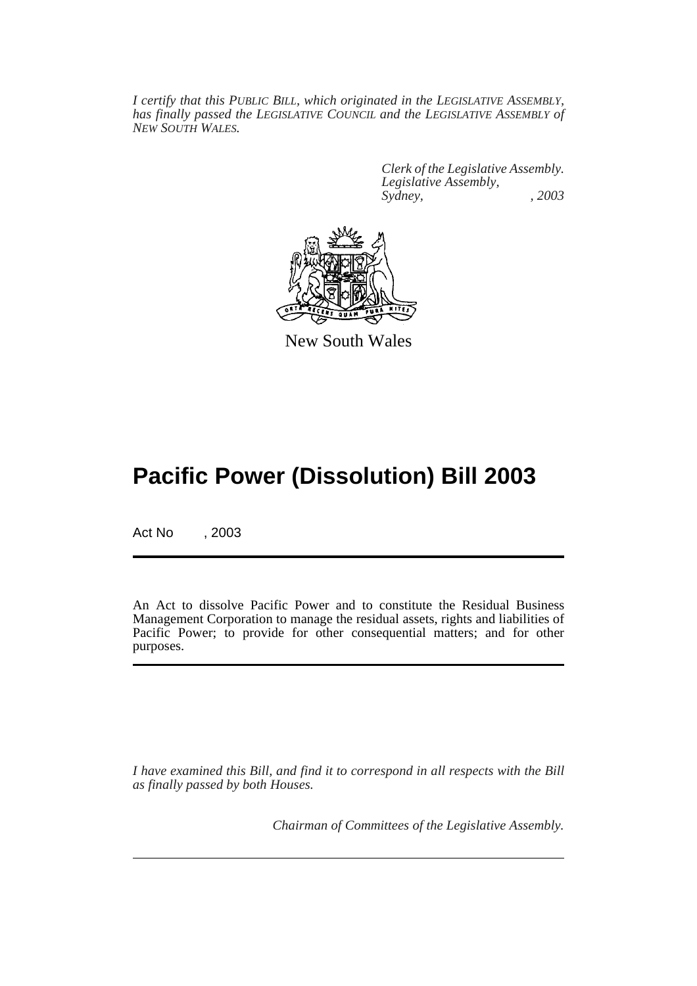*I certify that this PUBLIC BILL, which originated in the LEGISLATIVE ASSEMBLY, has finally passed the LEGISLATIVE COUNCIL and the LEGISLATIVE ASSEMBLY of NEW SOUTH WALES.*

> *Clerk of the Legislative Assembly. Legislative Assembly, Sydney, , 2003*



New South Wales

# **Pacific Power (Dissolution) Bill 2003**

Act No , 2003

An Act to dissolve Pacific Power and to constitute the Residual Business Management Corporation to manage the residual assets, rights and liabilities of Pacific Power; to provide for other consequential matters; and for other purposes.

*I have examined this Bill, and find it to correspond in all respects with the Bill as finally passed by both Houses.*

*Chairman of Committees of the Legislative Assembly.*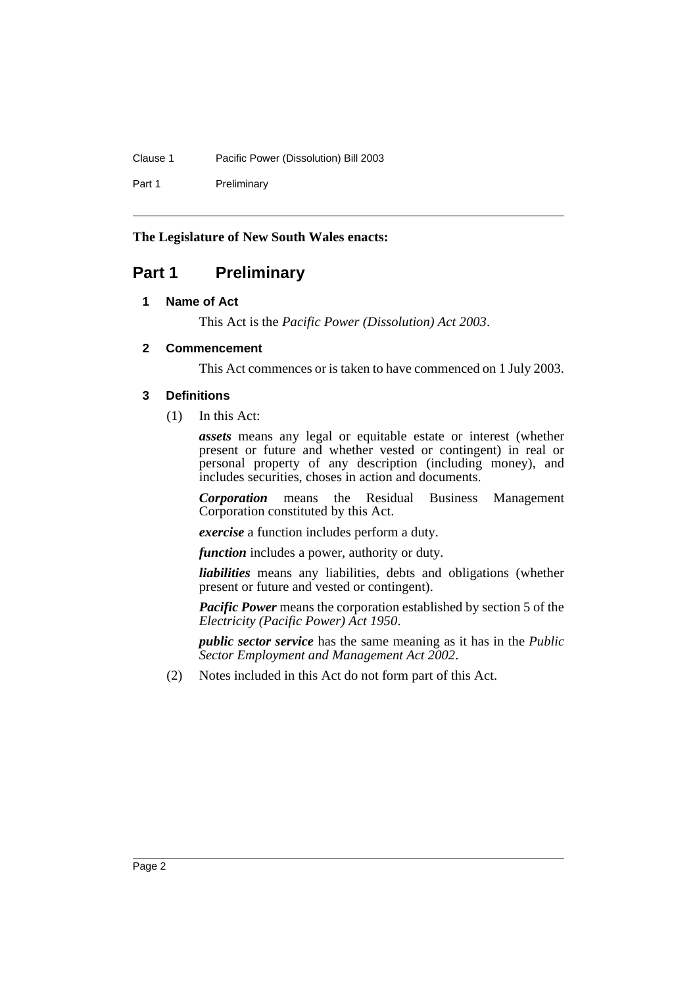# Clause 1 Pacific Power (Dissolution) Bill 2003

Part 1 Preliminary

# **The Legislature of New South Wales enacts:**

# <span id="page-3-1"></span><span id="page-3-0"></span>**Part 1 Preliminary**

# **1 Name of Act**

This Act is the *Pacific Power (Dissolution) Act 2003*.

### <span id="page-3-2"></span>**2 Commencement**

This Act commences or is taken to have commenced on 1 July 2003.

### <span id="page-3-3"></span>**3 Definitions**

(1) In this Act:

*assets* means any legal or equitable estate or interest (whether present or future and whether vested or contingent) in real or personal property of any description (including money), and includes securities, choses in action and documents.

*Corporation* means the Residual Business Management Corporation constituted by this Act.

*exercise* a function includes perform a duty.

*function* includes a power, authority or duty.

*liabilities* means any liabilities, debts and obligations (whether present or future and vested or contingent).

*Pacific Power* means the corporation established by section 5 of the *Electricity (Pacific Power) Act 1950*.

*public sector service* has the same meaning as it has in the *Public Sector Employment and Management Act 2002*.

(2) Notes included in this Act do not form part of this Act.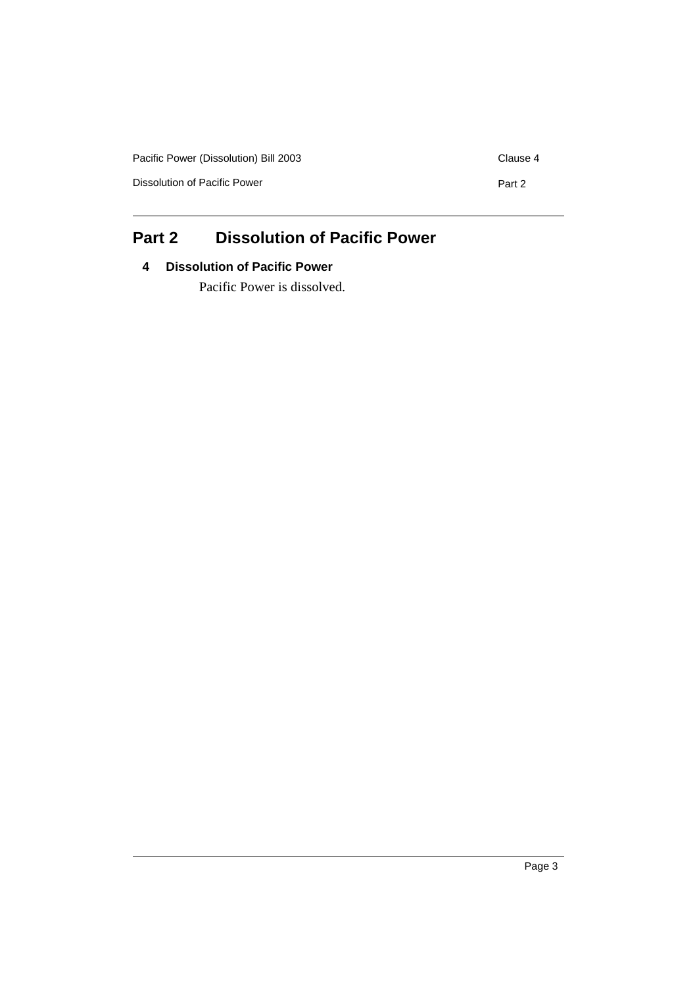| Pacific Power (Dissolution) Bill 2003 | Clause 4 |
|---------------------------------------|----------|
| Dissolution of Pacific Power          | Part 2   |
|                                       |          |

# <span id="page-4-1"></span><span id="page-4-0"></span>**Part 2 Dissolution of Pacific Power**

# **4 Dissolution of Pacific Power**

Pacific Power is dissolved.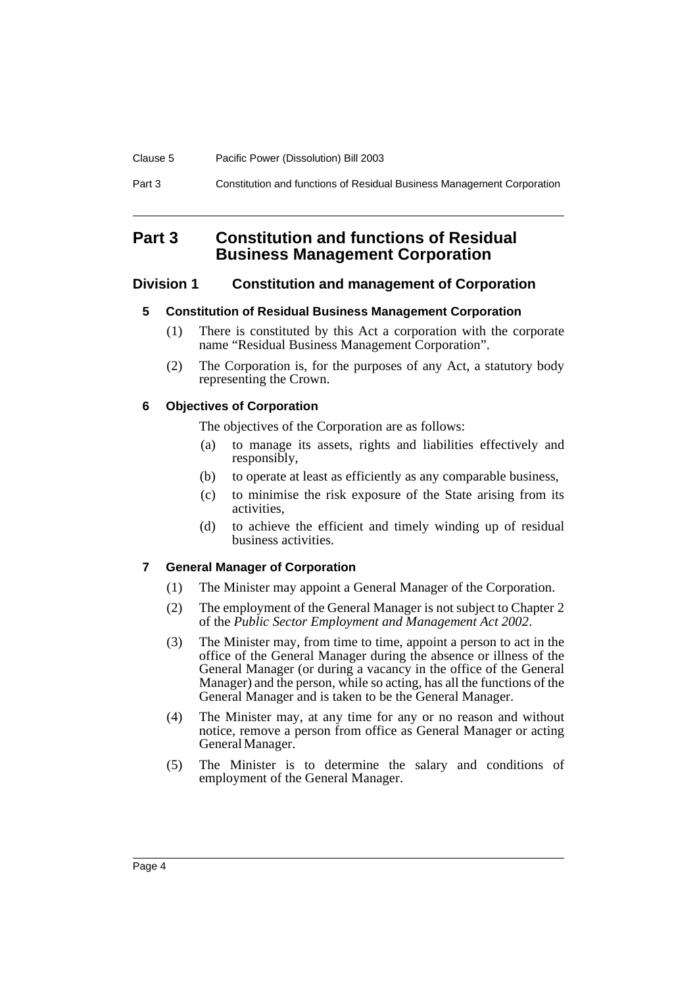| Clause 5 | Pacific Power (Dissolution) Bill 2003                                  |
|----------|------------------------------------------------------------------------|
| Part 3   | Constitution and functions of Residual Business Management Corporation |

# <span id="page-5-0"></span>**Part 3 Constitution and functions of Residual Business Management Corporation**

# <span id="page-5-2"></span><span id="page-5-1"></span>**Division 1 Constitution and management of Corporation**

# **5 Constitution of Residual Business Management Corporation**

- (1) There is constituted by this Act a corporation with the corporate name "Residual Business Management Corporation".
- (2) The Corporation is, for the purposes of any Act, a statutory body representing the Crown.

# <span id="page-5-3"></span>**6 Objectives of Corporation**

The objectives of the Corporation are as follows:

- (a) to manage its assets, rights and liabilities effectively and responsibly,
- (b) to operate at least as efficiently as any comparable business,
- (c) to minimise the risk exposure of the State arising from its activities,
- (d) to achieve the efficient and timely winding up of residual business activities.

# <span id="page-5-4"></span>**7 General Manager of Corporation**

- (1) The Minister may appoint a General Manager of the Corporation.
- (2) The employment of the General Manager is not subject to Chapter 2 of the *Public Sector Employment and Management Act 2002*.
- (3) The Minister may, from time to time, appoint a person to act in the office of the General Manager during the absence or illness of the General Manager (or during a vacancy in the office of the General Manager) and the person, while so acting, has all the functions of the General Manager and is taken to be the General Manager.
- (4) The Minister may, at any time for any or no reason and without notice, remove a person from office as General Manager or acting General Manager.
- (5) The Minister is to determine the salary and conditions of employment of the General Manager.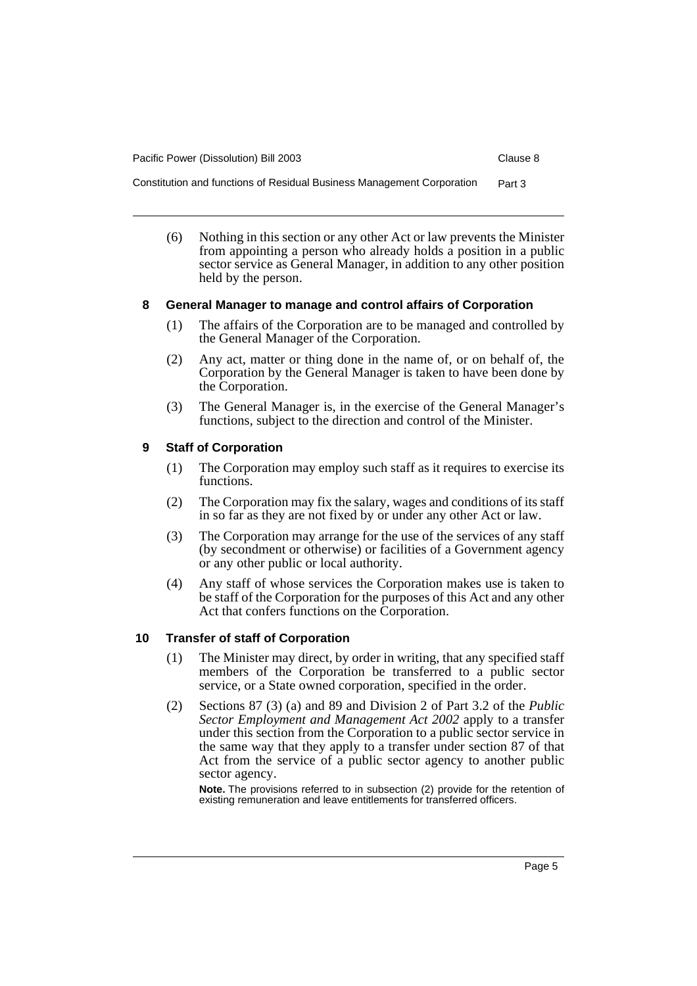Constitution and functions of Residual Business Management Corporation Part 3

(6) Nothing in this section or any other Act or law prevents the Minister from appointing a person who already holds a position in a public sector service as General Manager, in addition to any other position held by the person.

#### <span id="page-6-0"></span>**8 General Manager to manage and control affairs of Corporation**

- (1) The affairs of the Corporation are to be managed and controlled by the General Manager of the Corporation.
- (2) Any act, matter or thing done in the name of, or on behalf of, the Corporation by the General Manager is taken to have been done by the Corporation.
- (3) The General Manager is, in the exercise of the General Manager's functions, subject to the direction and control of the Minister.

#### <span id="page-6-1"></span>**9 Staff of Corporation**

- (1) The Corporation may employ such staff as it requires to exercise its functions.
- (2) The Corporation may fix the salary, wages and conditions of its staff in so far as they are not fixed by or under any other Act or law.
- (3) The Corporation may arrange for the use of the services of any staff (by secondment or otherwise) or facilities of a Government agency or any other public or local authority.
- (4) Any staff of whose services the Corporation makes use is taken to be staff of the Corporation for the purposes of this Act and any other Act that confers functions on the Corporation.

#### <span id="page-6-2"></span>**10 Transfer of staff of Corporation**

- (1) The Minister may direct, by order in writing, that any specified staff members of the Corporation be transferred to a public sector service, or a State owned corporation, specified in the order.
- (2) Sections 87 (3) (a) and 89 and Division 2 of Part 3.2 of the *Public Sector Employment and Management Act 2002* apply to a transfer under this section from the Corporation to a public sector service in the same way that they apply to a transfer under section 87 of that Act from the service of a public sector agency to another public sector agency.

**Note.** The provisions referred to in subsection (2) provide for the retention of existing remuneration and leave entitlements for transferred officers.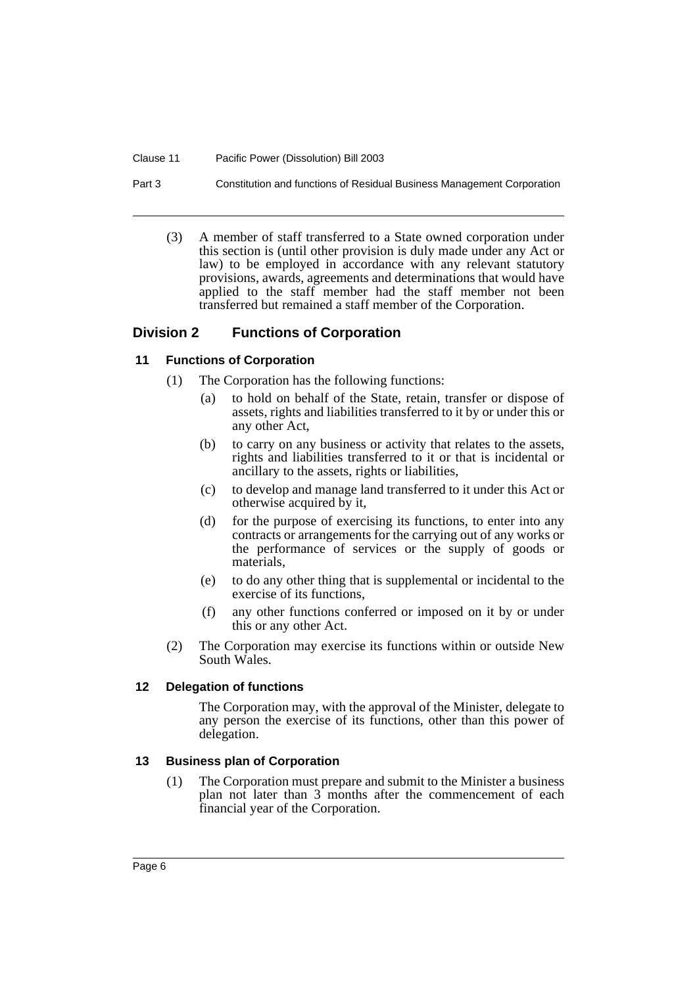#### Clause 11 Pacific Power (Dissolution) Bill 2003

Part 3 Constitution and functions of Residual Business Management Corporation

(3) A member of staff transferred to a State owned corporation under this section is (until other provision is duly made under any Act or law) to be employed in accordance with any relevant statutory provisions, awards, agreements and determinations that would have applied to the staff member had the staff member not been transferred but remained a staff member of the Corporation.

### <span id="page-7-0"></span>**Division 2 Functions of Corporation**

#### <span id="page-7-1"></span>**11 Functions of Corporation**

- (1) The Corporation has the following functions:
	- (a) to hold on behalf of the State, retain, transfer or dispose of assets, rights and liabilities transferred to it by or under this or any other Act,
	- (b) to carry on any business or activity that relates to the assets, rights and liabilities transferred to it or that is incidental or ancillary to the assets, rights or liabilities,
	- (c) to develop and manage land transferred to it under this Act or otherwise acquired by it,
	- (d) for the purpose of exercising its functions, to enter into any contracts or arrangements for the carrying out of any works or the performance of services or the supply of goods or materials,
	- (e) to do any other thing that is supplemental or incidental to the exercise of its functions,
	- (f) any other functions conferred or imposed on it by or under this or any other Act.
- (2) The Corporation may exercise its functions within or outside New South Wales.

#### <span id="page-7-2"></span>**12 Delegation of functions**

The Corporation may, with the approval of the Minister, delegate to any person the exercise of its functions, other than this power of delegation.

#### <span id="page-7-3"></span>**13 Business plan of Corporation**

(1) The Corporation must prepare and submit to the Minister a business plan not later than 3 months after the commencement of each financial year of the Corporation.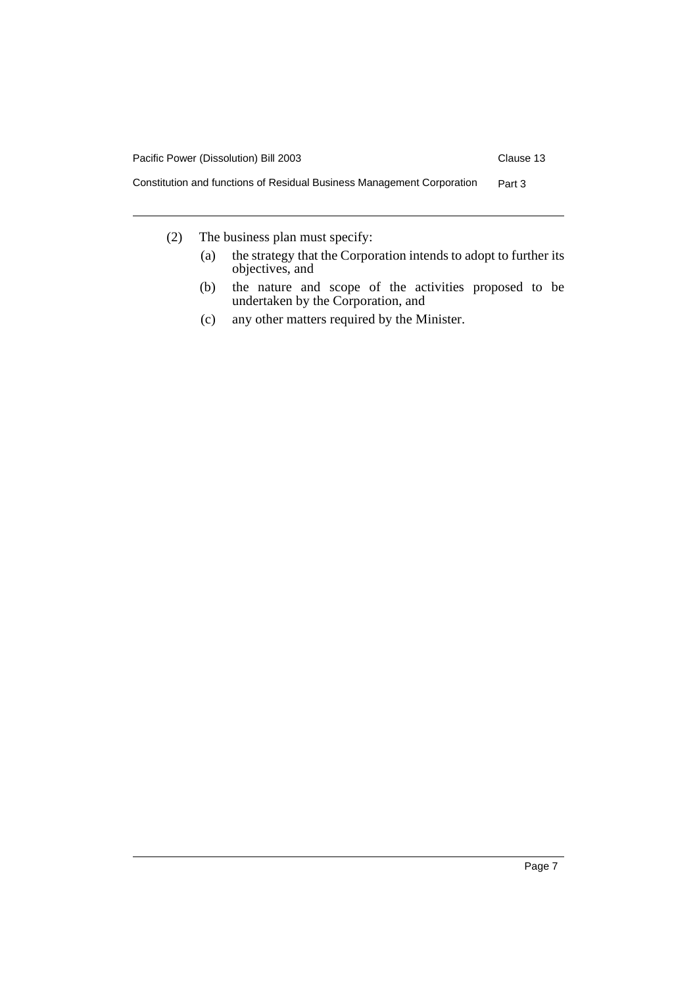

- (2) The business plan must specify:
	- (a) the strategy that the Corporation intends to adopt to further its objectives, and
	- (b) the nature and scope of the activities proposed to be undertaken by the Corporation, and
	- (c) any other matters required by the Minister.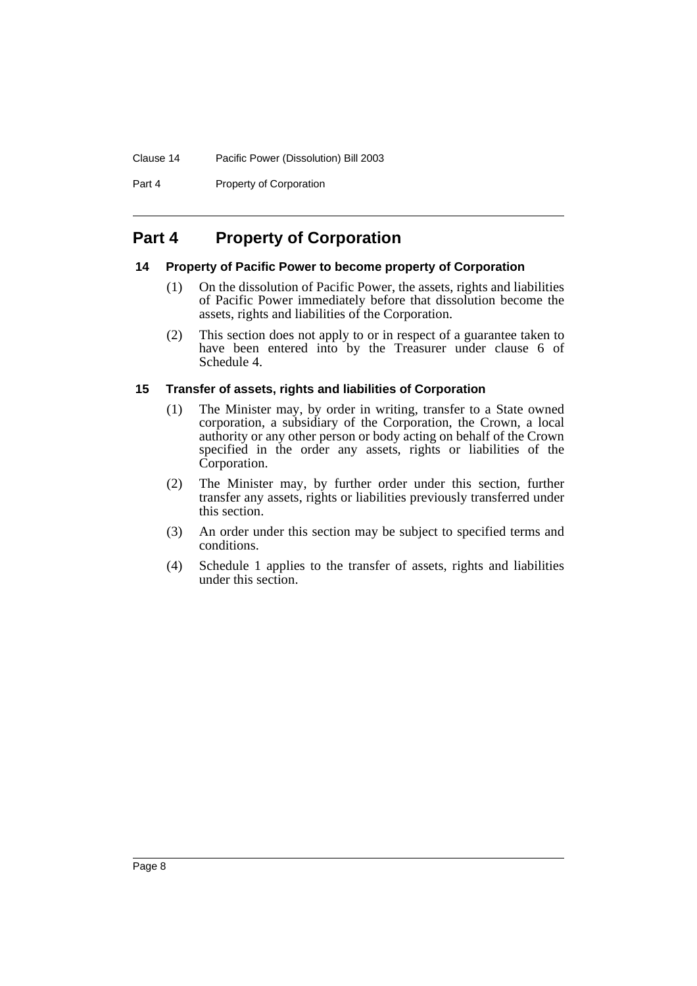Part 4 Property of Corporation

# <span id="page-9-0"></span>**Part 4 Property of Corporation**

#### <span id="page-9-1"></span>**14 Property of Pacific Power to become property of Corporation**

- (1) On the dissolution of Pacific Power, the assets, rights and liabilities of Pacific Power immediately before that dissolution become the assets, rights and liabilities of the Corporation.
- (2) This section does not apply to or in respect of a guarantee taken to have been entered into by the Treasurer under clause 6 of Schedule 4.

### <span id="page-9-2"></span>**15 Transfer of assets, rights and liabilities of Corporation**

- (1) The Minister may, by order in writing, transfer to a State owned corporation, a subsidiary of the Corporation, the Crown, a local authority or any other person or body acting on behalf of the Crown specified in the order any assets, rights or liabilities of the Corporation.
- (2) The Minister may, by further order under this section, further transfer any assets, rights or liabilities previously transferred under this section.
- (3) An order under this section may be subject to specified terms and conditions.
- (4) Schedule 1 applies to the transfer of assets, rights and liabilities under this section.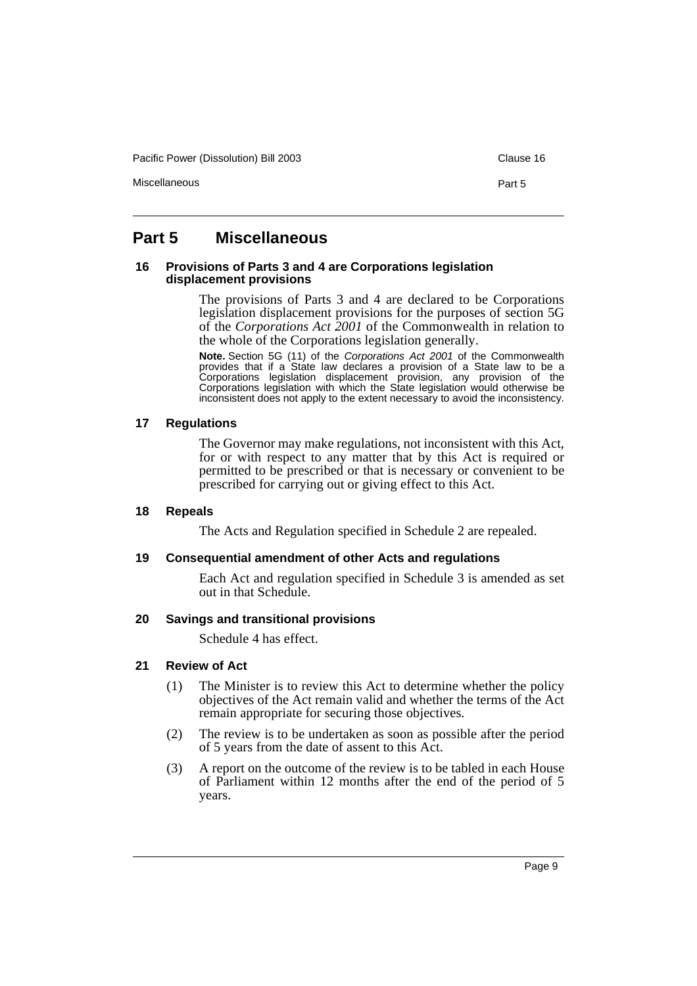Pacific Power (Dissolution) Bill 2003 Clause 16

Miscellaneous Part 5

# <span id="page-10-0"></span>**Part 5 Miscellaneous**

#### <span id="page-10-1"></span>**16 Provisions of Parts 3 and 4 are Corporations legislation displacement provisions**

The provisions of Parts 3 and 4 are declared to be Corporations legislation displacement provisions for the purposes of section 5G of the *Corporations Act 2001* of the Commonwealth in relation to the whole of the Corporations legislation generally.

**Note.** Section 5G (11) of the Corporations Act 2001 of the Commonwealth provides that if a State law declares a provision of a State law to be a Corporations legislation displacement provision, any provision of the Corporations legislation with which the State legislation would otherwise be inconsistent does not apply to the extent necessary to avoid the inconsistency.

#### <span id="page-10-2"></span>**17 Regulations**

The Governor may make regulations, not inconsistent with this Act, for or with respect to any matter that by this Act is required or permitted to be prescribed or that is necessary or convenient to be prescribed for carrying out or giving effect to this Act.

#### <span id="page-10-3"></span>**18 Repeals**

The Acts and Regulation specified in Schedule 2 are repealed.

#### <span id="page-10-4"></span>**19 Consequential amendment of other Acts and regulations**

Each Act and regulation specified in Schedule 3 is amended as set out in that Schedule.

#### <span id="page-10-5"></span>**20 Savings and transitional provisions**

Schedule 4 has effect.

#### <span id="page-10-6"></span>**21 Review of Act**

- (1) The Minister is to review this Act to determine whether the policy objectives of the Act remain valid and whether the terms of the Act remain appropriate for securing those objectives.
- (2) The review is to be undertaken as soon as possible after the period of 5 years from the date of assent to this Act.
- (3) A report on the outcome of the review is to be tabled in each House of Parliament within 12 months after the end of the period of 5 years.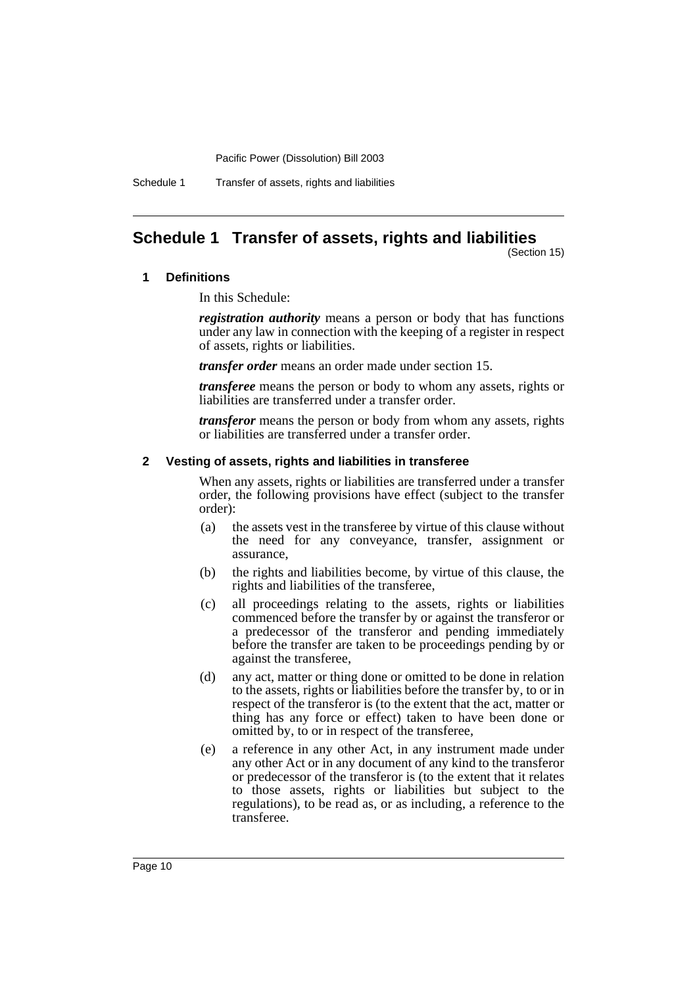Schedule 1 Transfer of assets, rights and liabilities

# <span id="page-11-0"></span>**Schedule 1 Transfer of assets, rights and liabilities**

(Section 15)

#### **1 Definitions**

In this Schedule:

*registration authority* means a person or body that has functions under any law in connection with the keeping of a register in respect of assets, rights or liabilities.

*transfer order* means an order made under section 15.

*transferee* means the person or body to whom any assets, rights or liabilities are transferred under a transfer order.

*transferor* means the person or body from whom any assets, rights or liabilities are transferred under a transfer order.

#### **2 Vesting of assets, rights and liabilities in transferee**

When any assets, rights or liabilities are transferred under a transfer order, the following provisions have effect (subject to the transfer order):

- (a) the assets vest in the transferee by virtue of this clause without the need for any conveyance, transfer, assignment or assurance,
- (b) the rights and liabilities become, by virtue of this clause, the rights and liabilities of the transferee,
- (c) all proceedings relating to the assets, rights or liabilities commenced before the transfer by or against the transferor or a predecessor of the transferor and pending immediately before the transfer are taken to be proceedings pending by or against the transferee,
- (d) any act, matter or thing done or omitted to be done in relation to the assets, rights or liabilities before the transfer by, to or in respect of the transferor is (to the extent that the act, matter or thing has any force or effect) taken to have been done or omitted by, to or in respect of the transferee,
- (e) a reference in any other Act, in any instrument made under any other Act or in any document of any kind to the transferor or predecessor of the transferor is (to the extent that it relates to those assets, rights or liabilities but subject to the regulations), to be read as, or as including, a reference to the transferee.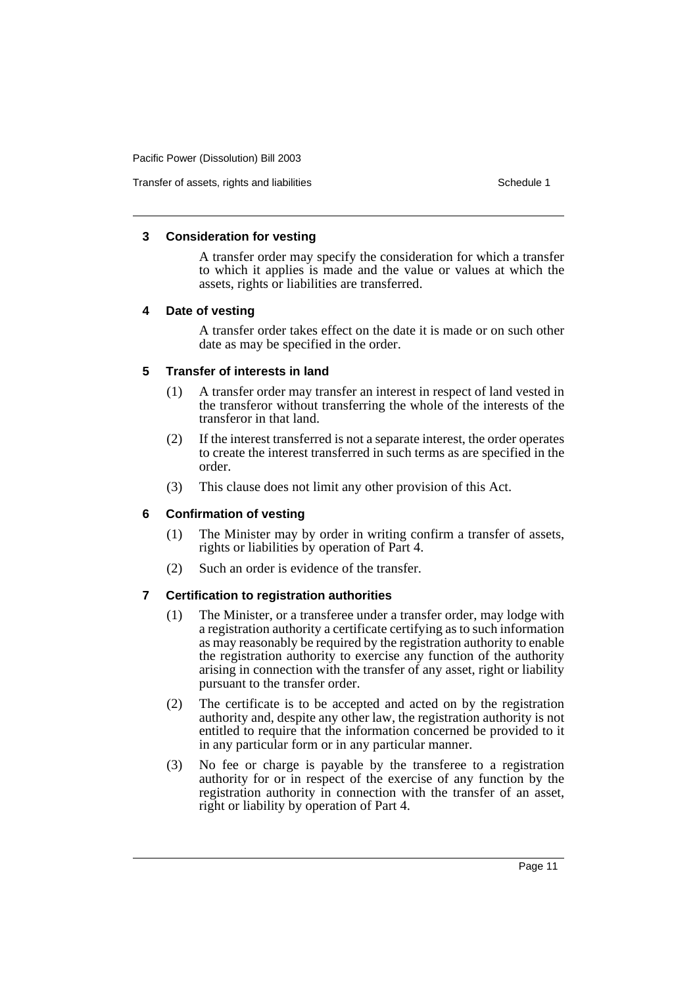#### **3 Consideration for vesting**

A transfer order may specify the consideration for which a transfer to which it applies is made and the value or values at which the assets, rights or liabilities are transferred.

#### **4 Date of vesting**

A transfer order takes effect on the date it is made or on such other date as may be specified in the order.

#### **5 Transfer of interests in land**

- (1) A transfer order may transfer an interest in respect of land vested in the transferor without transferring the whole of the interests of the transferor in that land.
- (2) If the interest transferred is not a separate interest, the order operates to create the interest transferred in such terms as are specified in the order.
- (3) This clause does not limit any other provision of this Act.

# **6 Confirmation of vesting**

- (1) The Minister may by order in writing confirm a transfer of assets, rights or liabilities by operation of Part 4.
- (2) Such an order is evidence of the transfer.

# **7 Certification to registration authorities**

- (1) The Minister, or a transferee under a transfer order, may lodge with a registration authority a certificate certifying as to such information as may reasonably be required by the registration authority to enable the registration authority to exercise any function of the authority arising in connection with the transfer of any asset, right or liability pursuant to the transfer order.
- (2) The certificate is to be accepted and acted on by the registration authority and, despite any other law, the registration authority is not entitled to require that the information concerned be provided to it in any particular form or in any particular manner.
- (3) No fee or charge is payable by the transferee to a registration authority for or in respect of the exercise of any function by the registration authority in connection with the transfer of an asset, right or liability by operation of Part 4.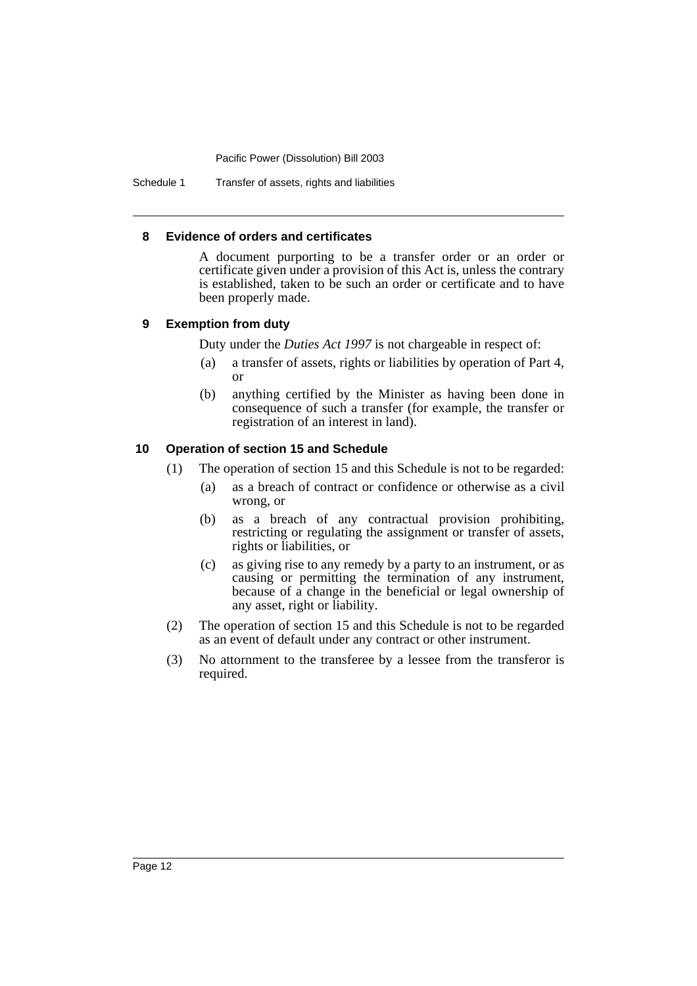Schedule 1 Transfer of assets, rights and liabilities

#### **8 Evidence of orders and certificates**

A document purporting to be a transfer order or an order or certificate given under a provision of this Act is, unless the contrary is established, taken to be such an order or certificate and to have been properly made.

#### **9 Exemption from duty**

Duty under the *Duties Act 1997* is not chargeable in respect of:

- (a) a transfer of assets, rights or liabilities by operation of Part 4, or
- (b) anything certified by the Minister as having been done in consequence of such a transfer (for example, the transfer or registration of an interest in land).

#### **10 Operation of section 15 and Schedule**

- (1) The operation of section 15 and this Schedule is not to be regarded:
	- (a) as a breach of contract or confidence or otherwise as a civil wrong, or
	- (b) as a breach of any contractual provision prohibiting, restricting or regulating the assignment or transfer of assets, rights or liabilities, or
	- (c) as giving rise to any remedy by a party to an instrument, or as causing or permitting the termination of any instrument, because of a change in the beneficial or legal ownership of any asset, right or liability.
- (2) The operation of section 15 and this Schedule is not to be regarded as an event of default under any contract or other instrument.
- (3) No attornment to the transferee by a lessee from the transferor is required.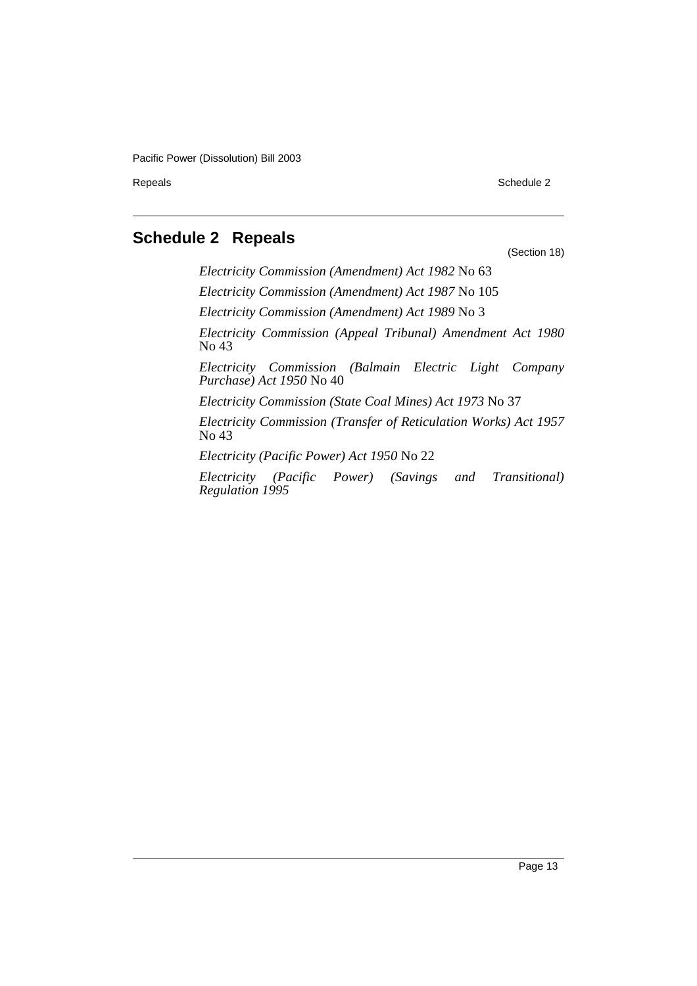Repeals Schedule 2

# <span id="page-14-0"></span>**Schedule 2 Repeals**

(Section 18)

*Electricity Commission (Amendment) Act 1982* No 63 *Electricity Commission (Amendment) Act 1987* No 105 *Electricity Commission (Amendment) Act 1989* No 3 *Electricity Commission (Appeal Tribunal) Amendment Act 1980* No 43 *Electricity Commission (Balmain Electric Light Company Purchase) Act 1950* No 40 *Electricity Commission (State Coal Mines) Act 1973* No 37 *Electricity Commission (Transfer of Reticulation Works) Act 1957* No 43

*Electricity (Pacific Power) Act 1950* No 22

*Electricity (Pacific Power) (Savings and Transitional) Regulation 1995*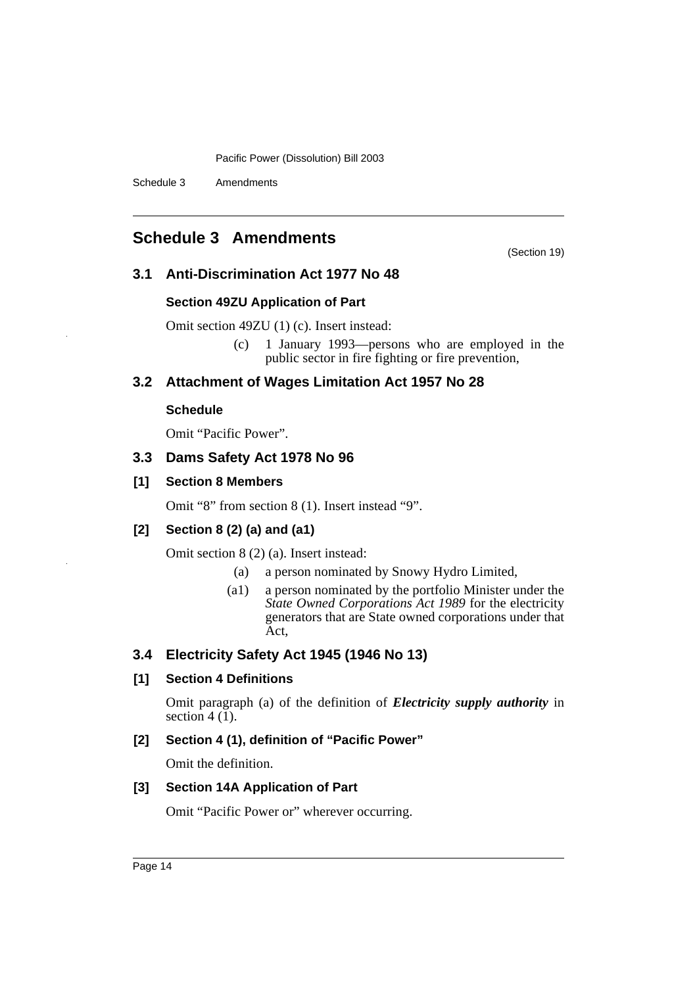Schedule 3 Amendments

# <span id="page-15-0"></span>**Schedule 3 Amendments**

(Section 19)

# **3.1 Anti-Discrimination Act 1977 No 48**

### **Section 49ZU Application of Part**

Omit section 49ZU (1) (c). Insert instead:

(c) 1 January 1993—persons who are employed in the public sector in fire fighting or fire prevention,

# **3.2 Attachment of Wages Limitation Act 1957 No 28**

### **Schedule**

Omit "Pacific Power".

# **3.3 Dams Safety Act 1978 No 96**

# **[1] Section 8 Members**

Omit "8" from section 8 (1). Insert instead "9".

# **[2] Section 8 (2) (a) and (a1)**

Omit section 8 (2) (a). Insert instead:

- (a) a person nominated by Snowy Hydro Limited,
- (a1) a person nominated by the portfolio Minister under the *State Owned Corporations Act 1989* for the electricity generators that are State owned corporations under that Act,

# **3.4 Electricity Safety Act 1945 (1946 No 13)**

# **[1] Section 4 Definitions**

Omit paragraph (a) of the definition of *Electricity supply authority* in section  $4(1)$ .

# **[2] Section 4 (1), definition of "Pacific Power"**

Omit the definition.

# **[3] Section 14A Application of Part**

Omit "Pacific Power or" wherever occurring.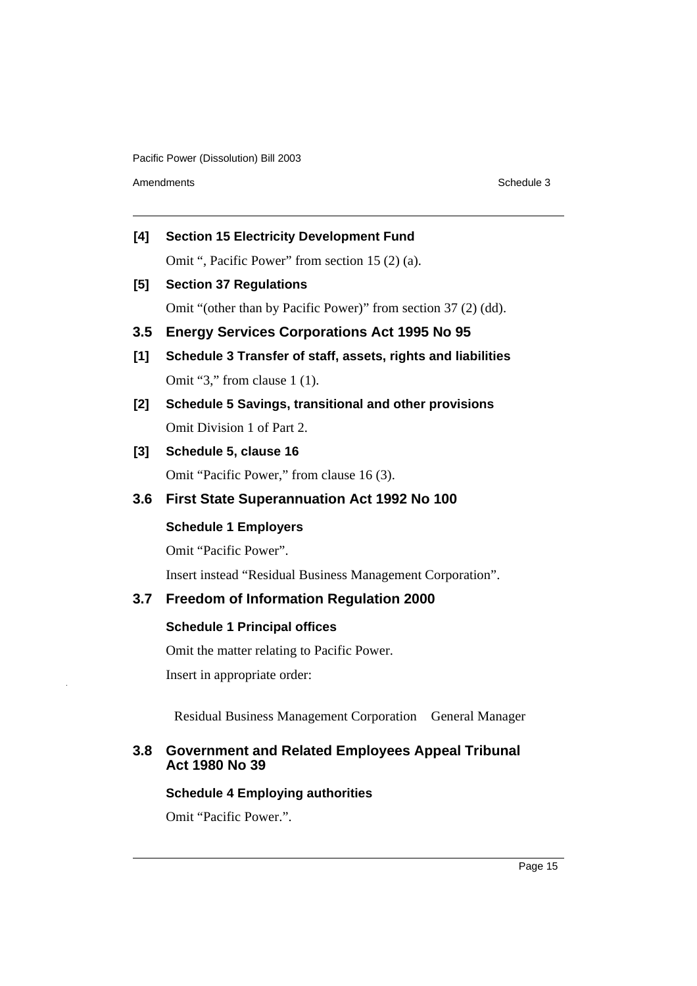Amendments **Schedule 3** 

**[4] Section 15 Electricity Development Fund** Omit ", Pacific Power" from section 15 (2) (a).

# **[5] Section 37 Regulations**

Omit "(other than by Pacific Power)" from section 37 (2) (dd).

- **3.5 Energy Services Corporations Act 1995 No 95**
- **[1] Schedule 3 Transfer of staff, assets, rights and liabilities** Omit "3," from clause 1 (1).
- **[2] Schedule 5 Savings, transitional and other provisions**  Omit Division 1 of Part 2.

# **[3] Schedule 5, clause 16**

Omit "Pacific Power," from clause 16 (3).

# **3.6 First State Superannuation Act 1992 No 100**

# **Schedule 1 Employers**

Omit "Pacific Power".

Insert instead "Residual Business Management Corporation".

# **3.7 Freedom of Information Regulation 2000**

# **Schedule 1 Principal offices**

Omit the matter relating to Pacific Power.

Insert in appropriate order:

Residual Business Management Corporation General Manager

# **3.8 Government and Related Employees Appeal Tribunal Act 1980 No 39**

# **Schedule 4 Employing authorities**

Omit "Pacific Power.".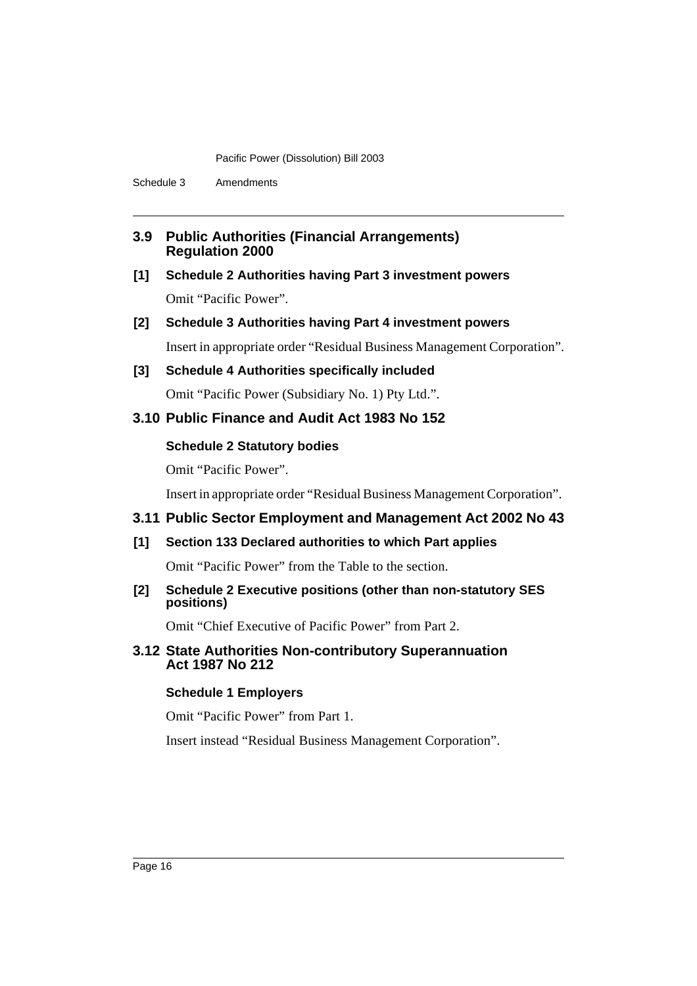Schedule 3 Amendments

### **3.9 Public Authorities (Financial Arrangements) Regulation 2000**

# **[1] Schedule 2 Authorities having Part 3 investment powers**  Omit "Pacific Power".

# **[2] Schedule 3 Authorities having Part 4 investment powers**

Insert in appropriate order "Residual Business Management Corporation".

# **[3] Schedule 4 Authorities specifically included**

Omit "Pacific Power (Subsidiary No. 1) Pty Ltd.".

# **3.10 Public Finance and Audit Act 1983 No 152**

# **Schedule 2 Statutory bodies**

Omit "Pacific Power".

Insert in appropriate order "Residual Business Management Corporation".

# **3.11 Public Sector Employment and Management Act 2002 No 43**

# **[1] Section 133 Declared authorities to which Part applies**

Omit "Pacific Power" from the Table to the section.

# **[2] Schedule 2 Executive positions (other than non-statutory SES positions)**

Omit "Chief Executive of Pacific Power" from Part 2.

# **3.12 State Authorities Non-contributory Superannuation Act 1987 No 212**

# **Schedule 1 Employers**

Omit "Pacific Power" from Part 1.

Insert instead "Residual Business Management Corporation".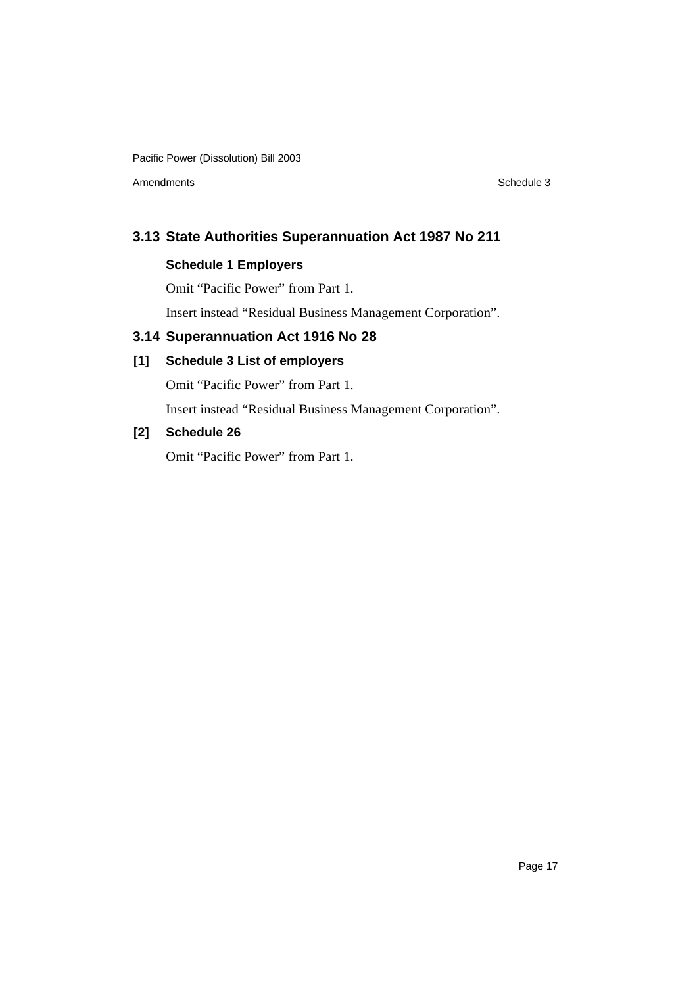Amendments **Schedule 3** Schedule 3

# **3.13 State Authorities Superannuation Act 1987 No 211**

# **Schedule 1 Employers**

Omit "Pacific Power" from Part 1.

Insert instead "Residual Business Management Corporation".

# **3.14 Superannuation Act 1916 No 28**

# **[1] Schedule 3 List of employers**

Omit "Pacific Power" from Part 1.

Insert instead "Residual Business Management Corporation".

# **[2] Schedule 26**

Omit "Pacific Power" from Part 1.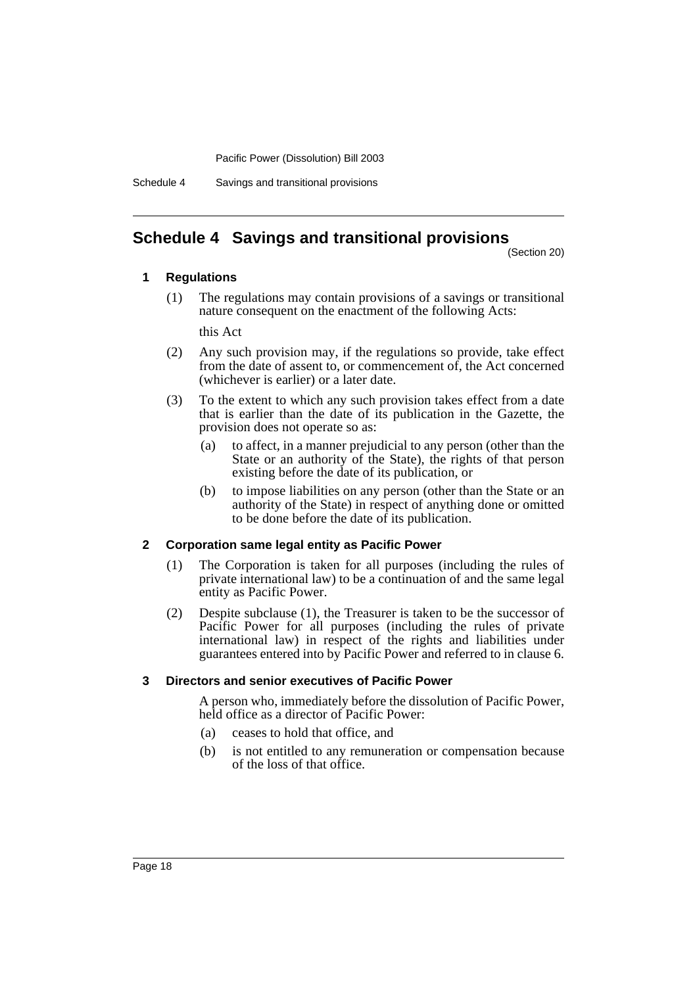Schedule 4 Savings and transitional provisions

# <span id="page-19-0"></span>**Schedule 4 Savings and transitional provisions**

(Section 20)

#### **1 Regulations**

(1) The regulations may contain provisions of a savings or transitional nature consequent on the enactment of the following Acts:

this Act

- (2) Any such provision may, if the regulations so provide, take effect from the date of assent to, or commencement of, the Act concerned (whichever is earlier) or a later date.
- (3) To the extent to which any such provision takes effect from a date that is earlier than the date of its publication in the Gazette, the provision does not operate so as:
	- (a) to affect, in a manner prejudicial to any person (other than the State or an authority of the State), the rights of that person existing before the date of its publication, or
	- (b) to impose liabilities on any person (other than the State or an authority of the State) in respect of anything done or omitted to be done before the date of its publication.

#### **2 Corporation same legal entity as Pacific Power**

- (1) The Corporation is taken for all purposes (including the rules of private international law) to be a continuation of and the same legal entity as Pacific Power.
- (2) Despite subclause (1), the Treasurer is taken to be the successor of Pacific Power for all purposes (including the rules of private international law) in respect of the rights and liabilities under guarantees entered into by Pacific Power and referred to in clause 6.

#### **3 Directors and senior executives of Pacific Power**

A person who, immediately before the dissolution of Pacific Power, held office as a director of Pacific Power:

- (a) ceases to hold that office, and
- (b) is not entitled to any remuneration or compensation because of the loss of that office.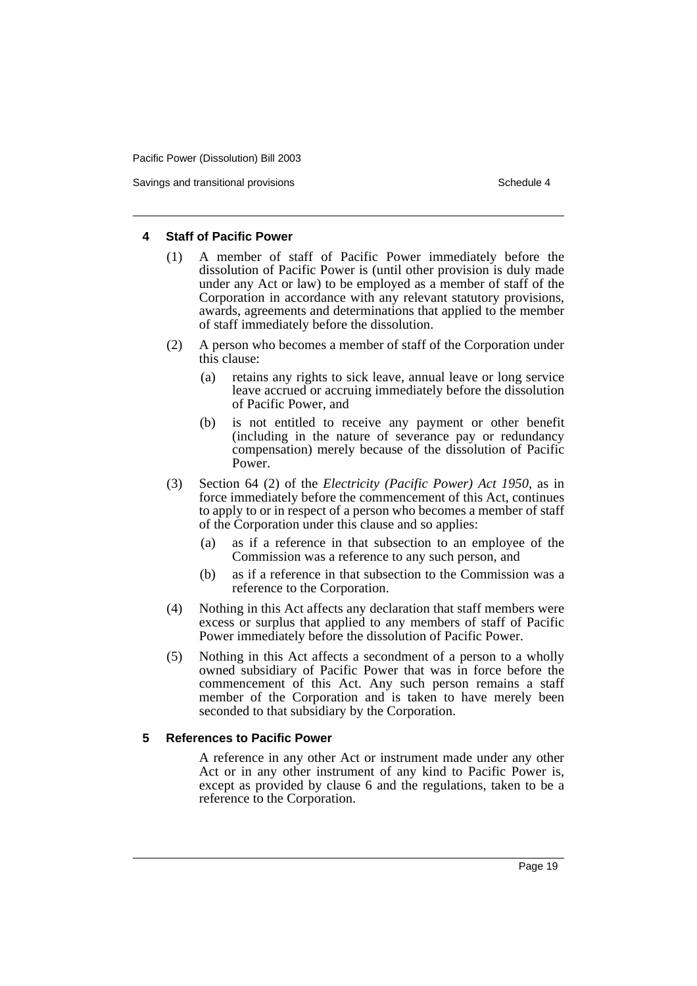Savings and transitional provisions Schedule 4 and the Schedule 4

#### **4 Staff of Pacific Power**

- (1) A member of staff of Pacific Power immediately before the dissolution of Pacific Power is (until other provision is duly made under any Act or law) to be employed as a member of staff of the Corporation in accordance with any relevant statutory provisions, awards, agreements and determinations that applied to the member of staff immediately before the dissolution.
- (2) A person who becomes a member of staff of the Corporation under this clause:
	- (a) retains any rights to sick leave, annual leave or long service leave accrued or accruing immediately before the dissolution of Pacific Power, and
	- (b) is not entitled to receive any payment or other benefit (including in the nature of severance pay or redundancy compensation) merely because of the dissolution of Pacific Power.
- (3) Section 64 (2) of the *Electricity (Pacific Power) Act 1950*, as in force immediately before the commencement of this Act, continues to apply to or in respect of a person who becomes a member of staff of the Corporation under this clause and so applies:
	- (a) as if a reference in that subsection to an employee of the Commission was a reference to any such person, and
	- (b) as if a reference in that subsection to the Commission was a reference to the Corporation.
- (4) Nothing in this Act affects any declaration that staff members were excess or surplus that applied to any members of staff of Pacific Power immediately before the dissolution of Pacific Power.
- (5) Nothing in this Act affects a secondment of a person to a wholly owned subsidiary of Pacific Power that was in force before the commencement of this Act. Any such person remains a staff member of the Corporation and is taken to have merely been seconded to that subsidiary by the Corporation.

#### **5 References to Pacific Power**

A reference in any other Act or instrument made under any other Act or in any other instrument of any kind to Pacific Power is, except as provided by clause 6 and the regulations, taken to be a reference to the Corporation.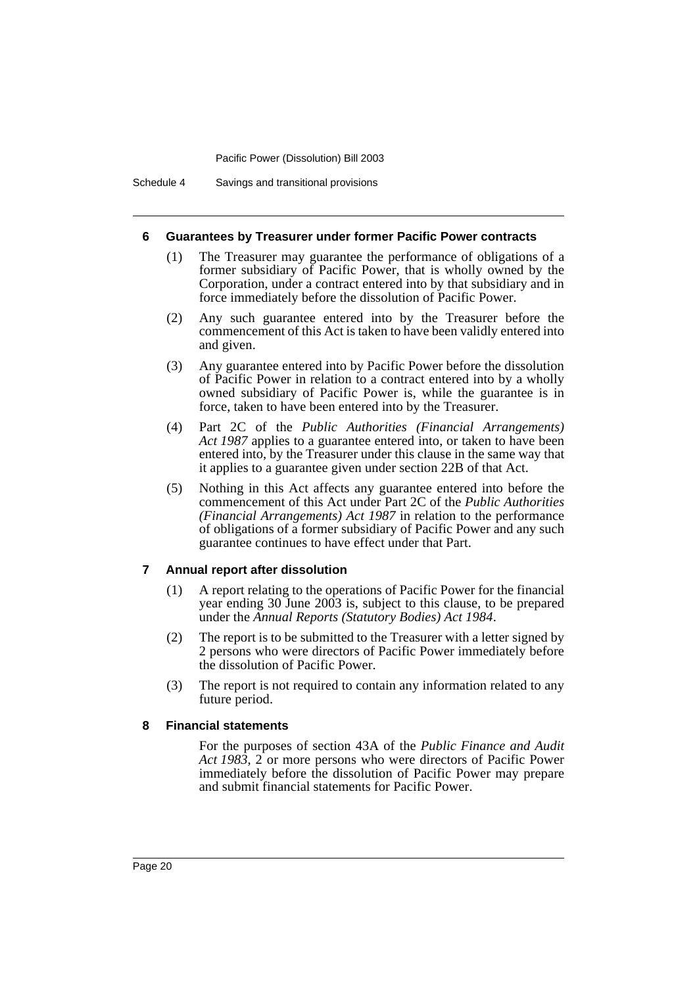Schedule 4 Savings and transitional provisions

#### **6 Guarantees by Treasurer under former Pacific Power contracts**

- (1) The Treasurer may guarantee the performance of obligations of a former subsidiary of Pacific Power, that is wholly owned by the Corporation, under a contract entered into by that subsidiary and in force immediately before the dissolution of Pacific Power.
- (2) Any such guarantee entered into by the Treasurer before the commencement of this Act is taken to have been validly entered into and given.
- (3) Any guarantee entered into by Pacific Power before the dissolution of Pacific Power in relation to a contract entered into by a wholly owned subsidiary of Pacific Power is, while the guarantee is in force, taken to have been entered into by the Treasurer.
- (4) Part 2C of the *Public Authorities (Financial Arrangements) Act 1987* applies to a guarantee entered into, or taken to have been entered into, by the Treasurer under this clause in the same way that it applies to a guarantee given under section 22B of that Act.
- (5) Nothing in this Act affects any guarantee entered into before the commencement of this Act under Part 2C of the *Public Authorities (Financial Arrangements) Act 1987* in relation to the performance of obligations of a former subsidiary of Pacific Power and any such guarantee continues to have effect under that Part.

#### **7 Annual report after dissolution**

- (1) A report relating to the operations of Pacific Power for the financial year ending 30 June 2003 is, subject to this clause, to be prepared under the *Annual Reports (Statutory Bodies) Act 1984*.
- (2) The report is to be submitted to the Treasurer with a letter signed by 2 persons who were directors of Pacific Power immediately before the dissolution of Pacific Power.
- (3) The report is not required to contain any information related to any future period.

#### **8 Financial statements**

For the purposes of section 43A of the *Public Finance and Audit Act 1983*, 2 or more persons who were directors of Pacific Power immediately before the dissolution of Pacific Power may prepare and submit financial statements for Pacific Power.